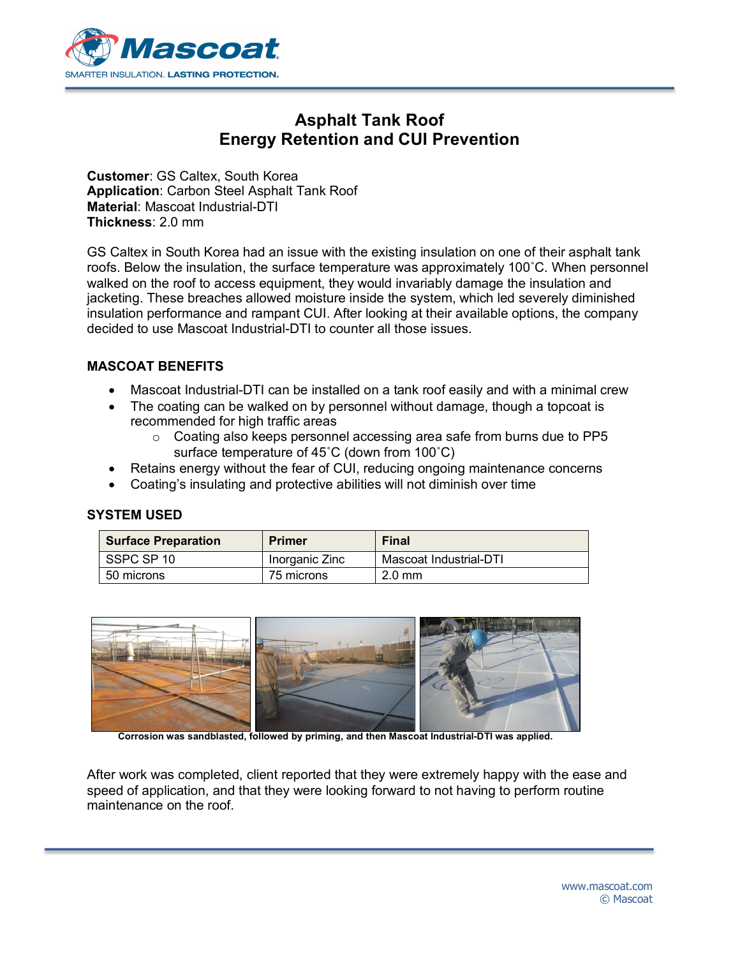

# **Asphalt Tank Roof Energy Retention and CUI Prevention**

**Customer**: GS Caltex, South Korea **Application**: Carbon Steel Asphalt Tank Roof **Material**: Mascoat Industrial-DTI **Thickness**: 2.0 mm

GS Caltex in South Korea had an issue with the existing insulation on one of their asphalt tank roofs. Below the insulation, the surface temperature was approximately 100˚C. When personnel walked on the roof to access equipment, they would invariably damage the insulation and jacketing. These breaches allowed moisture inside the system, which led severely diminished insulation performance and rampant CUI. After looking at their available options, the company decided to use Mascoat Industrial-DTI to counter all those issues.

#### **MASCOAT BENEFITS**

- Mascoat Industrial-DTI can be installed on a tank roof easily and with a minimal crew
- The coating can be walked on by personnel without damage, though a topcoat is recommended for high traffic areas
	- $\circ$  Coating also keeps personnel accessing area safe from burns due to PP5 surface temperature of 45˚C (down from 100˚C)
- Retains energy without the fear of CUI, reducing ongoing maintenance concerns
- Coating's insulating and protective abilities will not diminish over time

#### **SYSTEM USED**

| <b>Surface Preparation</b> | Primer         | <b>Final</b>           |
|----------------------------|----------------|------------------------|
| SSPC SP 10                 | Inorganic Zinc | Mascoat Industrial-DTI |
| 50 microns                 | 75 microns     | $2.0 \text{ mm}$       |



**Corrosion was sandblasted, followed by priming, and then Mascoat Industrial-DTI was applied.**

After work was completed, client reported that they were extremely happy with the ease and speed of application, and that they were looking forward to not having to perform routine maintenance on the roof.